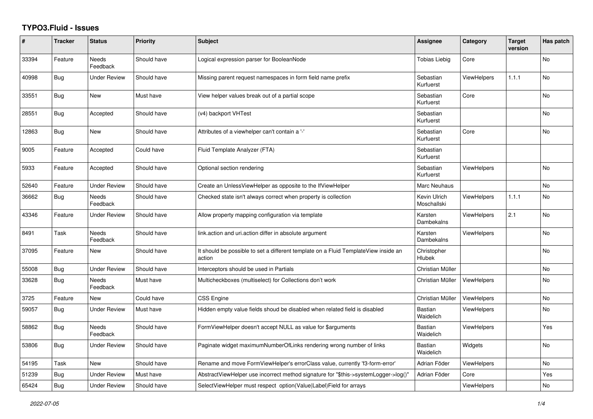## **TYPO3.Fluid - Issues**

| #     | <b>Tracker</b> | <b>Status</b>            | <b>Priority</b> | <b>Subject</b>                                                                                | Assignee                    | Category           | <b>Target</b><br>version | Has patch      |
|-------|----------------|--------------------------|-----------------|-----------------------------------------------------------------------------------------------|-----------------------------|--------------------|--------------------------|----------------|
| 33394 | Feature        | <b>Needs</b><br>Feedback | Should have     | Logical expression parser for BooleanNode                                                     | <b>Tobias Liebig</b>        | Core               |                          | <b>No</b>      |
| 40998 | <b>Bug</b>     | <b>Under Review</b>      | Should have     | Missing parent request namespaces in form field name prefix                                   | Sebastian<br>Kurfuerst      | <b>ViewHelpers</b> | 1.1.1                    | N <sub>o</sub> |
| 33551 | <b>Bug</b>     | New                      | Must have       | View helper values break out of a partial scope                                               | Sebastian<br>Kurfuerst      | Core               |                          | No             |
| 28551 | Bug            | Accepted                 | Should have     | (v4) backport VHTest                                                                          | Sebastian<br>Kurfuerst      |                    |                          | No             |
| 12863 | <b>Bug</b>     | <b>New</b>               | Should have     | Attributes of a viewhelper can't contain a '-'                                                | Sebastian<br>Kurfuerst      | Core               |                          | <b>No</b>      |
| 9005  | Feature        | Accepted                 | Could have      | Fluid Template Analyzer (FTA)                                                                 | Sebastian<br>Kurfuerst      |                    |                          |                |
| 5933  | Feature        | Accepted                 | Should have     | Optional section rendering                                                                    | Sebastian<br>Kurfuerst      | <b>ViewHelpers</b> |                          | <b>No</b>      |
| 52640 | Feature        | <b>Under Review</b>      | Should have     | Create an UnlessViewHelper as opposite to the IfViewHelper                                    | Marc Neuhaus                |                    |                          | No             |
| 36662 | Bug            | <b>Needs</b><br>Feedback | Should have     | Checked state isn't always correct when property is collection                                | Kevin Ulrich<br>Moschallski | <b>ViewHelpers</b> | 1.1.1                    | <b>No</b>      |
| 43346 | Feature        | Under Review             | Should have     | Allow property mapping configuration via template                                             | Karsten<br>Dambekalns       | <b>ViewHelpers</b> | 2.1                      | No             |
| 8491  | Task           | Needs<br>Feedback        | Should have     | link.action and uri.action differ in absolute argument                                        | Karsten<br>Dambekalns       | <b>ViewHelpers</b> |                          | No             |
| 37095 | Feature        | New                      | Should have     | It should be possible to set a different template on a Fluid TemplateView inside an<br>action | Christopher<br>Hlubek       |                    |                          | <b>No</b>      |
| 55008 | Bug            | <b>Under Review</b>      | Should have     | Interceptors should be used in Partials                                                       | Christian Müller            |                    |                          | <b>No</b>      |
| 33628 | Bug            | Needs<br>Feedback        | Must have       | Multicheckboxes (multiselect) for Collections don't work                                      | Christian Müller            | <b>ViewHelpers</b> |                          | No             |
| 3725  | Feature        | New                      | Could have      | CSS Engine                                                                                    | Christian Müller            | ViewHelpers        |                          | No             |
| 59057 | <b>Bug</b>     | <b>Under Review</b>      | Must have       | Hidden empty value fields shoud be disabled when related field is disabled                    | Bastian<br>Waidelich        | <b>ViewHelpers</b> |                          | N <sub>o</sub> |
| 58862 | <b>Bug</b>     | Needs<br>Feedback        | Should have     | FormViewHelper doesn't accept NULL as value for \$arguments                                   | Bastian<br>Waidelich        | <b>ViewHelpers</b> |                          | Yes            |
| 53806 | <b>Bug</b>     | Under Review             | Should have     | Paginate widget maximumNumberOfLinks rendering wrong number of links                          | Bastian<br>Waidelich        | Widgets            |                          | No             |
| 54195 | Task           | New                      | Should have     | Rename and move FormViewHelper's errorClass value, currently 'f3-form-error'                  | Adrian Föder                | ViewHelpers        |                          | <b>No</b>      |
| 51239 | Bug            | <b>Under Review</b>      | Must have       | AbstractViewHelper use incorrect method signature for "\$this->systemLogger->log()"           | Adrian Föder                | Core               |                          | Yes            |
| 65424 | Bug            | <b>Under Review</b>      | Should have     | SelectViewHelper must respect option(Value Label)Field for arrays                             |                             | ViewHelpers        |                          | No             |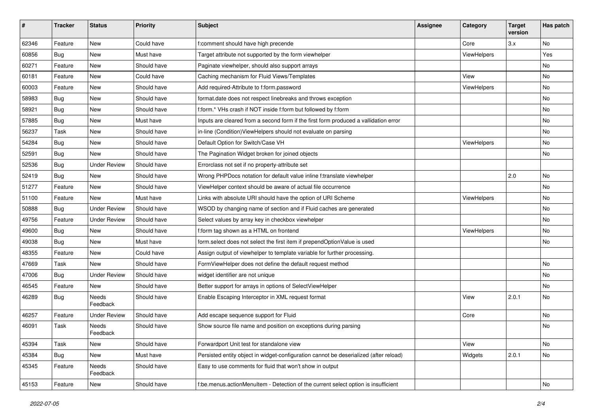| #     | <b>Tracker</b> | <b>Status</b>            | Priority    | <b>Subject</b>                                                                        | <b>Assignee</b> | Category           | <b>Target</b><br>version | Has patch |
|-------|----------------|--------------------------|-------------|---------------------------------------------------------------------------------------|-----------------|--------------------|--------------------------|-----------|
| 62346 | Feature        | New                      | Could have  | f:comment should have high precende                                                   |                 | Core               | 3.x                      | <b>No</b> |
| 60856 | Bug            | New                      | Must have   | Target attribute not supported by the form viewhelper                                 |                 | ViewHelpers        |                          | Yes       |
| 60271 | Feature        | New                      | Should have | Paginate viewhelper, should also support arrays                                       |                 |                    |                          | No        |
| 60181 | Feature        | New                      | Could have  | Caching mechanism for Fluid Views/Templates                                           |                 | View               |                          | No        |
| 60003 | Feature        | New                      | Should have | Add required-Attribute to f:form.password                                             |                 | ViewHelpers        |                          | No        |
| 58983 | Bug            | New                      | Should have | format.date does not respect linebreaks and throws exception                          |                 |                    |                          | No        |
| 58921 | <b>Bug</b>     | New                      | Should have | f:form.* VHs crash if NOT inside f:form but followed by f:form                        |                 |                    |                          | No        |
| 57885 | <b>Bug</b>     | New                      | Must have   | Inputs are cleared from a second form if the first form produced a vallidation error  |                 |                    |                          | No        |
| 56237 | Task           | New                      | Should have | in-line (Condition) ViewHelpers should not evaluate on parsing                        |                 |                    |                          | No        |
| 54284 | Bug            | New                      | Should have | Default Option for Switch/Case VH                                                     |                 | ViewHelpers        |                          | No        |
| 52591 | Bug            | <b>New</b>               | Should have | The Pagination Widget broken for joined objects                                       |                 |                    |                          | No        |
| 52536 | <b>Bug</b>     | <b>Under Review</b>      | Should have | Errorclass not set if no property-attribute set                                       |                 |                    |                          |           |
| 52419 | Bug            | <b>New</b>               | Should have | Wrong PHPDocs notation for default value inline f:translate viewhelper                |                 |                    | 2.0                      | No        |
| 51277 | Feature        | New                      | Should have | ViewHelper context should be aware of actual file occurrence                          |                 |                    |                          | No        |
| 51100 | Feature        | New                      | Must have   | Links with absolute URI should have the option of URI Scheme                          |                 | <b>ViewHelpers</b> |                          | No        |
| 50888 | <b>Bug</b>     | <b>Under Review</b>      | Should have | WSOD by changing name of section and if Fluid caches are generated                    |                 |                    |                          | No        |
| 49756 | Feature        | <b>Under Review</b>      | Should have | Select values by array key in checkbox viewhelper                                     |                 |                    |                          | No        |
| 49600 | <b>Bug</b>     | New                      | Should have | f:form tag shown as a HTML on frontend                                                |                 | ViewHelpers        |                          | No        |
| 49038 | Bug            | New                      | Must have   | form.select does not select the first item if prependOptionValue is used              |                 |                    |                          | No        |
| 48355 | Feature        | New                      | Could have  | Assign output of viewhelper to template variable for further processing.              |                 |                    |                          |           |
| 47669 | Task           | New                      | Should have | FormViewHelper does not define the default request method                             |                 |                    |                          | No        |
| 47006 | Bug            | <b>Under Review</b>      | Should have | widget identifier are not unique                                                      |                 |                    |                          | No        |
| 46545 | Feature        | New                      | Should have | Better support for arrays in options of SelectViewHelper                              |                 |                    |                          | No        |
| 46289 | <b>Bug</b>     | <b>Needs</b><br>Feedback | Should have | Enable Escaping Interceptor in XML request format                                     |                 | View               | 2.0.1                    | No        |
| 46257 | Feature        | <b>Under Review</b>      | Should have | Add escape sequence support for Fluid                                                 |                 | Core               |                          | <b>No</b> |
| 46091 | Task           | Needs<br>Feedback        | Should have | Show source file name and position on exceptions during parsing                       |                 |                    |                          | No        |
| 45394 | Task           | New                      | Should have | Forwardport Unit test for standalone view                                             |                 | View               |                          | No        |
| 45384 | <b>Bug</b>     | New                      | Must have   | Persisted entity object in widget-configuration cannot be deserialized (after reload) |                 | Widgets            | 2.0.1                    | No        |
| 45345 | Feature        | Needs<br>Feedback        | Should have | Easy to use comments for fluid that won't show in output                              |                 |                    |                          |           |
| 45153 | Feature        | New                      | Should have | f:be.menus.actionMenuItem - Detection of the current select option is insufficient    |                 |                    |                          | No        |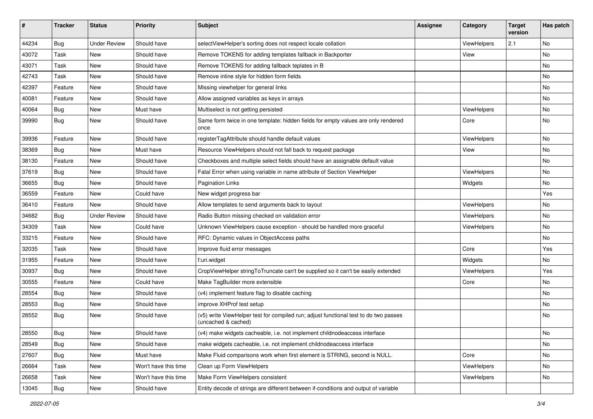| #     | <b>Tracker</b> | <b>Status</b>       | <b>Priority</b>      | <b>Subject</b>                                                                                              | <b>Assignee</b> | Category    | <b>Target</b><br>version | Has patch |
|-------|----------------|---------------------|----------------------|-------------------------------------------------------------------------------------------------------------|-----------------|-------------|--------------------------|-----------|
| 44234 | Bug            | <b>Under Review</b> | Should have          | selectViewHelper's sorting does not respect locale collation                                                |                 | ViewHelpers | 2.1                      | <b>No</b> |
| 43072 | Task           | New                 | Should have          | Remove TOKENS for adding templates fallback in Backporter                                                   |                 | View        |                          | No        |
| 43071 | Task           | New                 | Should have          | Remove TOKENS for adding fallback teplates in B                                                             |                 |             |                          | No        |
| 42743 | Task           | New                 | Should have          | Remove inline style for hidden form fields                                                                  |                 |             |                          | No        |
| 42397 | Feature        | New                 | Should have          | Missing viewhelper for general links                                                                        |                 |             |                          | No        |
| 40081 | Feature        | New                 | Should have          | Allow assigned variables as keys in arrays                                                                  |                 |             |                          | No        |
| 40064 | Bug            | New                 | Must have            | Multiselect is not getting persisted                                                                        |                 | ViewHelpers |                          | No        |
| 39990 | Bug            | New                 | Should have          | Same form twice in one template: hidden fields for empty values are only rendered<br>once                   |                 | Core        |                          | No        |
| 39936 | Feature        | New                 | Should have          | registerTagAttribute should handle default values                                                           |                 | ViewHelpers |                          | No        |
| 38369 | Bug            | New                 | Must have            | Resource ViewHelpers should not fall back to request package                                                |                 | View        |                          | No        |
| 38130 | Feature        | New                 | Should have          | Checkboxes and multiple select fields should have an assignable default value                               |                 |             |                          | No        |
| 37619 | Bug            | New                 | Should have          | Fatal Error when using variable in name attribute of Section ViewHelper                                     |                 | ViewHelpers |                          | No        |
| 36655 | Bug            | New                 | Should have          | <b>Pagination Links</b>                                                                                     |                 | Widgets     |                          | No        |
| 36559 | Feature        | New                 | Could have           | New widget progress bar                                                                                     |                 |             |                          | Yes       |
| 36410 | Feature        | New                 | Should have          | Allow templates to send arguments back to layout                                                            |                 | ViewHelpers |                          | No        |
| 34682 | Bug            | <b>Under Review</b> | Should have          | Radio Button missing checked on validation error                                                            |                 | ViewHelpers |                          | No        |
| 34309 | Task           | New                 | Could have           | Unknown ViewHelpers cause exception - should be handled more graceful                                       |                 | ViewHelpers |                          | No        |
| 33215 | Feature        | New                 | Should have          | RFC: Dynamic values in ObjectAccess paths                                                                   |                 |             |                          | <b>No</b> |
| 32035 | Task           | New                 | Should have          | Improve fluid error messages                                                                                |                 | Core        |                          | Yes       |
| 31955 | Feature        | New                 | Should have          | f:uri.widget                                                                                                |                 | Widgets     |                          | No        |
| 30937 | Bug            | New                 | Should have          | CropViewHelper stringToTruncate can't be supplied so it can't be easily extended                            |                 | ViewHelpers |                          | Yes       |
| 30555 | Feature        | New                 | Could have           | Make TagBuilder more extensible                                                                             |                 | Core        |                          | No        |
| 28554 | Bug            | New                 | Should have          | (v4) implement feature flag to disable caching                                                              |                 |             |                          | <b>No</b> |
| 28553 | Bug            | New                 | Should have          | improve XHProf test setup                                                                                   |                 |             |                          | No        |
| 28552 | Bug            | New                 | Should have          | (v5) write ViewHelper test for compiled run; adjust functional test to do two passes<br>(uncached & cached) |                 |             |                          | <b>No</b> |
| 28550 | Bug            | New                 | Should have          | (v4) make widgets cacheable, i.e. not implement childnodeaccess interface                                   |                 |             |                          | No        |
| 28549 | <b>Bug</b>     | New                 | Should have          | make widgets cacheable, i.e. not implement childnodeaccess interface                                        |                 |             |                          | No        |
| 27607 | Bug            | New                 | Must have            | Make Fluid comparisons work when first element is STRING, second is NULL.                                   |                 | Core        |                          | No        |
| 26664 | Task           | New                 | Won't have this time | Clean up Form ViewHelpers                                                                                   |                 | ViewHelpers |                          | No        |
| 26658 | Task           | New                 | Won't have this time | Make Form ViewHelpers consistent                                                                            |                 | ViewHelpers |                          | No        |
| 13045 | Bug            | New                 | Should have          | Entity decode of strings are different between if-conditions and output of variable                         |                 |             |                          |           |